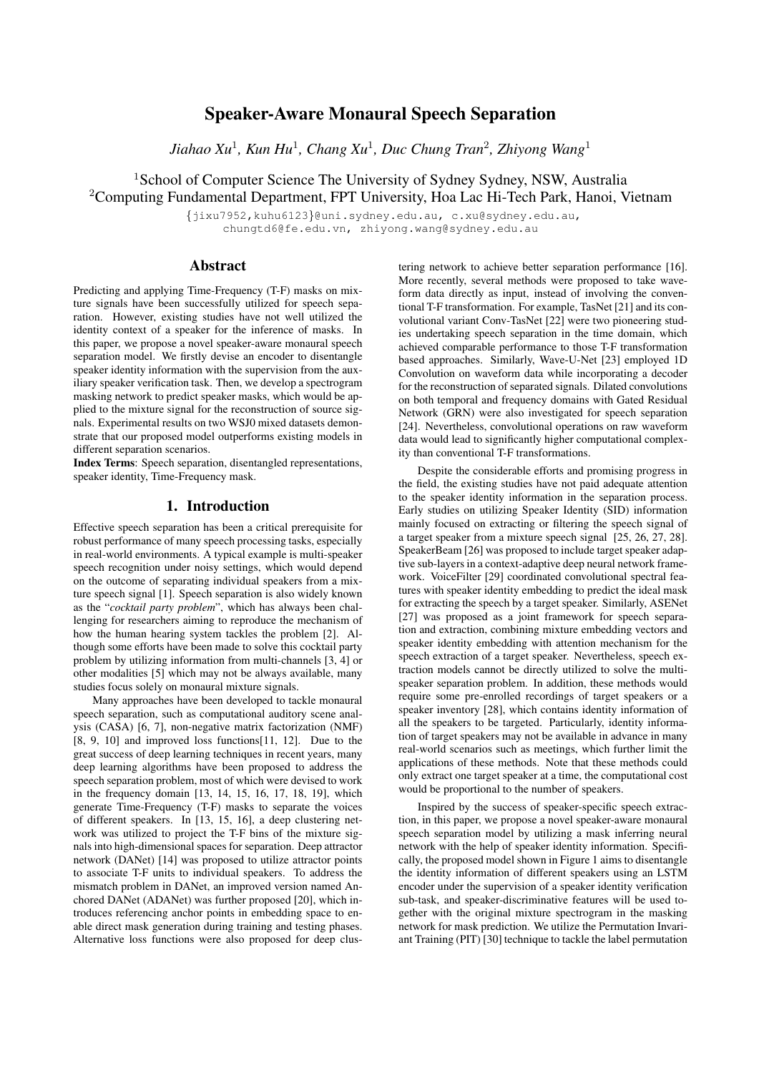# Speaker-Aware Monaural Speech Separation

*Jiahao Xu*<sup>1</sup> *, Kun Hu*<sup>1</sup> *, Chang Xu*<sup>1</sup> *, Duc Chung Tran*<sup>2</sup> *, Zhiyong Wang*<sup>1</sup>

<sup>1</sup>School of Computer Science The University of Sydney Sydney, NSW, Australia <sup>2</sup>Computing Fundamental Department, FPT University, Hoa Lac Hi-Tech Park, Hanoi, Vietnam

> {jixu7952,kuhu6123}@uni.sydney.edu.au, c.xu@sydney.edu.au, chungtd6@fe.edu.vn, zhiyong.wang@sydney.edu.au

## Abstract

Predicting and applying Time-Frequency (T-F) masks on mixture signals have been successfully utilized for speech separation. However, existing studies have not well utilized the identity context of a speaker for the inference of masks. In this paper, we propose a novel speaker-aware monaural speech separation model. We firstly devise an encoder to disentangle speaker identity information with the supervision from the auxiliary speaker verification task. Then, we develop a spectrogram masking network to predict speaker masks, which would be applied to the mixture signal for the reconstruction of source signals. Experimental results on two WSJ0 mixed datasets demonstrate that our proposed model outperforms existing models in different separation scenarios.

Index Terms: Speech separation, disentangled representations, speaker identity, Time-Frequency mask.

## 1. Introduction

Effective speech separation has been a critical prerequisite for robust performance of many speech processing tasks, especially in real-world environments. A typical example is multi-speaker speech recognition under noisy settings, which would depend on the outcome of separating individual speakers from a mixture speech signal [1]. Speech separation is also widely known as the "*cocktail party problem*", which has always been challenging for researchers aiming to reproduce the mechanism of how the human hearing system tackles the problem [2]. Although some efforts have been made to solve this cocktail party problem by utilizing information from multi-channels [3, 4] or other modalities [5] which may not be always available, many studies focus solely on monaural mixture signals.

Many approaches have been developed to tackle monaural speech separation, such as computational auditory scene analysis (CASA) [6, 7], non-negative matrix factorization (NMF) [8, 9, 10] and improved loss functions[11, 12]. Due to the great success of deep learning techniques in recent years, many deep learning algorithms have been proposed to address the speech separation problem, most of which were devised to work in the frequency domain [13, 14, 15, 16, 17, 18, 19], which generate Time-Frequency (T-F) masks to separate the voices of different speakers. In [13, 15, 16], a deep clustering network was utilized to project the T-F bins of the mixture signals into high-dimensional spaces for separation. Deep attractor network (DANet) [14] was proposed to utilize attractor points to associate T-F units to individual speakers. To address the mismatch problem in DANet, an improved version named Anchored DANet (ADANet) was further proposed [20], which introduces referencing anchor points in embedding space to enable direct mask generation during training and testing phases. Alternative loss functions were also proposed for deep clus-

tering network to achieve better separation performance [16]. More recently, several methods were proposed to take waveform data directly as input, instead of involving the conventional T-F transformation. For example, TasNet [21] and its convolutional variant Conv-TasNet [22] were two pioneering studies undertaking speech separation in the time domain, which achieved comparable performance to those T-F transformation based approaches. Similarly, Wave-U-Net [23] employed 1D Convolution on waveform data while incorporating a decoder for the reconstruction of separated signals. Dilated convolutions on both temporal and frequency domains with Gated Residual Network (GRN) were also investigated for speech separation [24]. Nevertheless, convolutional operations on raw waveform data would lead to significantly higher computational complexity than conventional T-F transformations.

Despite the considerable efforts and promising progress in the field, the existing studies have not paid adequate attention to the speaker identity information in the separation process. Early studies on utilizing Speaker Identity (SID) information mainly focused on extracting or filtering the speech signal of a target speaker from a mixture speech signal [25, 26, 27, 28]. SpeakerBeam [26] was proposed to include target speaker adaptive sub-layers in a context-adaptive deep neural network framework. VoiceFilter [29] coordinated convolutional spectral features with speaker identity embedding to predict the ideal mask for extracting the speech by a target speaker. Similarly, ASENet [27] was proposed as a joint framework for speech separation and extraction, combining mixture embedding vectors and speaker identity embedding with attention mechanism for the speech extraction of a target speaker. Nevertheless, speech extraction models cannot be directly utilized to solve the multispeaker separation problem. In addition, these methods would require some pre-enrolled recordings of target speakers or a speaker inventory [28], which contains identity information of all the speakers to be targeted. Particularly, identity information of target speakers may not be available in advance in many real-world scenarios such as meetings, which further limit the applications of these methods. Note that these methods could only extract one target speaker at a time, the computational cost would be proportional to the number of speakers.

Inspired by the success of speaker-specific speech extraction, in this paper, we propose a novel speaker-aware monaural speech separation model by utilizing a mask inferring neural network with the help of speaker identity information. Specifically, the proposed model shown in Figure 1 aims to disentangle the identity information of different speakers using an LSTM encoder under the supervision of a speaker identity verification sub-task, and speaker-discriminative features will be used together with the original mixture spectrogram in the masking network for mask prediction. We utilize the Permutation Invariant Training (PIT) [30] technique to tackle the label permutation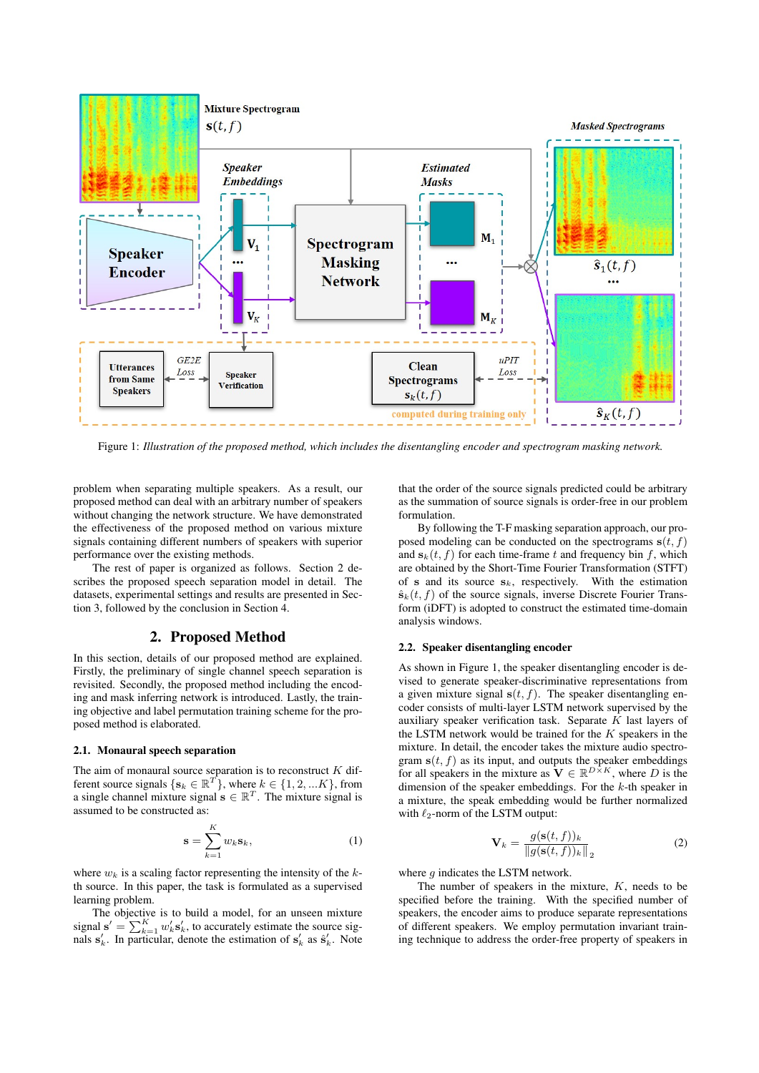

Figure 1: *Illustration of the proposed method, which includes the disentangling encoder and spectrogram masking network.*

problem when separating multiple speakers. As a result, our proposed method can deal with an arbitrary number of speakers without changing the network structure. We have demonstrated the effectiveness of the proposed method on various mixture signals containing different numbers of speakers with superior performance over the existing methods.

The rest of paper is organized as follows. Section 2 describes the proposed speech separation model in detail. The datasets, experimental settings and results are presented in Section 3, followed by the conclusion in Section 4.

## 2. Proposed Method

In this section, details of our proposed method are explained. Firstly, the preliminary of single channel speech separation is revisited. Secondly, the proposed method including the encoding and mask inferring network is introduced. Lastly, the training objective and label permutation training scheme for the proposed method is elaborated.

#### 2.1. Monaural speech separation

The aim of monaural source separation is to reconstruct  $K$  different source signals  $\{s_k \in \mathbb{R}^T\}$ , where  $k \in \{1, 2, ... K\}$ , from a single channel mixture signal  $\mathbf{s} \in \mathbb{R}^T$ . The mixture signal is assumed to be constructed as:

$$
\mathbf{s} = \sum_{k=1}^{K} w_k \mathbf{s}_k, \tag{1}
$$

where  $w_k$  is a scaling factor representing the intensity of the kth source. In this paper, the task is formulated as a supervised learning problem.

The objective is to build a model, for an unseen mixture signal  $\mathbf{s}' = \sum_{k=1}^{K} w'_k \mathbf{s}'_k$ , to accurately estimate the source signals  $s'_k$ . In particular, denote the estimation of  $s'_k$  as  $\hat{s}'_k$ . Note

that the order of the source signals predicted could be arbitrary as the summation of source signals is order-free in our problem formulation.

By following the T-F masking separation approach, our proposed modeling can be conducted on the spectrograms  $s(t, f)$ and  $s_k(t, f)$  for each time-frame t and frequency bin f, which are obtained by the Short-Time Fourier Transformation (STFT) of s and its source  $s_k$ , respectively. With the estimation  $\hat{\mathbf{s}}_k(t, f)$  of the source signals, inverse Discrete Fourier Transform (iDFT) is adopted to construct the estimated time-domain analysis windows.

### 2.2. Speaker disentangling encoder

As shown in Figure 1, the speaker disentangling encoder is devised to generate speaker-discriminative representations from a given mixture signal  $s(t, f)$ . The speaker disentangling encoder consists of multi-layer LSTM network supervised by the auxiliary speaker verification task. Separate  $K$  last layers of the LSTM network would be trained for the  $K$  speakers in the mixture. In detail, the encoder takes the mixture audio spectrogram  $s(t, f)$  as its input, and outputs the speaker embeddings for all speakers in the mixture as  $\mathbf{V} \in \mathbb{R}^{D \times K}$ , where D is the dimension of the speaker embeddings. For the k-th speaker in a mixture, the speak embedding would be further normalized with  $\ell_2$ -norm of the LSTM output:

$$
\mathbf{V}_k = \frac{g(\mathbf{s}(t,f))_k}{\|g(\mathbf{s}(t,f))_k\|}_2
$$
 (2)

where  $q$  indicates the LSTM network.

The number of speakers in the mixture,  $K$ , needs to be specified before the training. With the specified number of speakers, the encoder aims to produce separate representations of different speakers. We employ permutation invariant training technique to address the order-free property of speakers in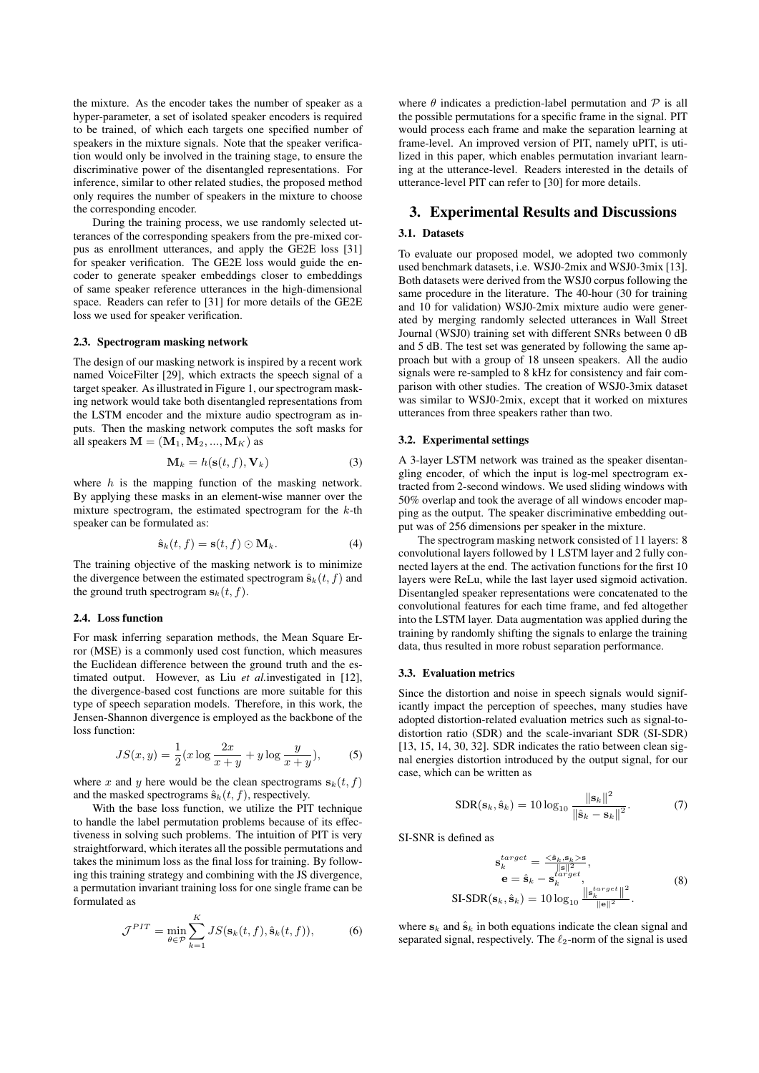the mixture. As the encoder takes the number of speaker as a hyper-parameter, a set of isolated speaker encoders is required to be trained, of which each targets one specified number of speakers in the mixture signals. Note that the speaker verification would only be involved in the training stage, to ensure the discriminative power of the disentangled representations. For inference, similar to other related studies, the proposed method only requires the number of speakers in the mixture to choose the corresponding encoder.

During the training process, we use randomly selected utterances of the corresponding speakers from the pre-mixed corpus as enrollment utterances, and apply the GE2E loss [31] for speaker verification. The GE2E loss would guide the encoder to generate speaker embeddings closer to embeddings of same speaker reference utterances in the high-dimensional space. Readers can refer to [31] for more details of the GE2E loss we used for speaker verification.

#### 2.3. Spectrogram masking network

The design of our masking network is inspired by a recent work named VoiceFilter [29], which extracts the speech signal of a target speaker. As illustrated in Figure 1, our spectrogram masking network would take both disentangled representations from the LSTM encoder and the mixture audio spectrogram as inputs. Then the masking network computes the soft masks for all speakers  $\mathbf{M} = (\mathbf{M}_1, \mathbf{M}_2, ..., \mathbf{M}_K)$  as

$$
\mathbf{M}_k = h(\mathbf{s}(t, f), \mathbf{V}_k)
$$
 (3)

where  $h$  is the mapping function of the masking network. By applying these masks in an element-wise manner over the mixture spectrogram, the estimated spectrogram for the  $k$ -th speaker can be formulated as:

$$
\hat{\mathbf{s}}_k(t,f) = \mathbf{s}(t,f) \odot \mathbf{M}_k. \tag{4}
$$

The training objective of the masking network is to minimize the divergence between the estimated spectrogram  $\hat{\mathbf{s}}_k(t, f)$  and the ground truth spectrogram  $s_k(t, f)$ .

#### 2.4. Loss function

For mask inferring separation methods, the Mean Square Error (MSE) is a commonly used cost function, which measures the Euclidean difference between the ground truth and the estimated output. However, as Liu *et al.*investigated in [12], the divergence-based cost functions are more suitable for this type of speech separation models. Therefore, in this work, the Jensen-Shannon divergence is employed as the backbone of the loss function:

$$
JS(x, y) = \frac{1}{2}(x \log \frac{2x}{x+y} + y \log \frac{y}{x+y}),
$$
 (5)

where x and y here would be the clean spectrograms  $s_k(t, f)$ and the masked spectrograms  $\hat{\mathbf{s}}_k(t, f)$ , respectively.

With the base loss function, we utilize the PIT technique to handle the label permutation problems because of its effectiveness in solving such problems. The intuition of PIT is very straightforward, which iterates all the possible permutations and takes the minimum loss as the final loss for training. By following this training strategy and combining with the JS divergence, a permutation invariant training loss for one single frame can be formulated as

$$
\mathcal{J}^{PIT} = \min_{\theta \in \mathcal{P}} \sum_{k=1}^{K} JS(\mathbf{s}_k(t, f), \hat{\mathbf{s}}_k(t, f)),
$$
 (6)

where  $\theta$  indicates a prediction-label permutation and  $\mathcal P$  is all the possible permutations for a specific frame in the signal. PIT would process each frame and make the separation learning at frame-level. An improved version of PIT, namely uPIT, is utilized in this paper, which enables permutation invariant learning at the utterance-level. Readers interested in the details of utterance-level PIT can refer to [30] for more details.

### 3. Experimental Results and Discussions

### 3.1. Datasets

To evaluate our proposed model, we adopted two commonly used benchmark datasets, i.e. WSJ0-2mix and WSJ0-3mix [13]. Both datasets were derived from the WSJ0 corpus following the same procedure in the literature. The 40-hour (30 for training and 10 for validation) WSJ0-2mix mixture audio were generated by merging randomly selected utterances in Wall Street Journal (WSJ0) training set with different SNRs between 0 dB and 5 dB. The test set was generated by following the same approach but with a group of 18 unseen speakers. All the audio signals were re-sampled to 8 kHz for consistency and fair comparison with other studies. The creation of WSJ0-3mix dataset was similar to WSJ0-2mix, except that it worked on mixtures utterances from three speakers rather than two.

#### 3.2. Experimental settings

A 3-layer LSTM network was trained as the speaker disentangling encoder, of which the input is log-mel spectrogram extracted from 2-second windows. We used sliding windows with 50% overlap and took the average of all windows encoder mapping as the output. The speaker discriminative embedding output was of 256 dimensions per speaker in the mixture.

The spectrogram masking network consisted of 11 layers: 8 convolutional layers followed by 1 LSTM layer and 2 fully connected layers at the end. The activation functions for the first 10 layers were ReLu, while the last layer used sigmoid activation. Disentangled speaker representations were concatenated to the convolutional features for each time frame, and fed altogether into the LSTM layer. Data augmentation was applied during the training by randomly shifting the signals to enlarge the training data, thus resulted in more robust separation performance.

#### 3.3. Evaluation metrics

Since the distortion and noise in speech signals would significantly impact the perception of speeches, many studies have adopted distortion-related evaluation metrics such as signal-todistortion ratio (SDR) and the scale-invariant SDR (SI-SDR) [13, 15, 14, 30, 32]. SDR indicates the ratio between clean signal energies distortion introduced by the output signal, for our case, which can be written as

$$
SDR(\mathbf{s}_k, \hat{\mathbf{s}}_k) = 10 \log_{10} \frac{\|\mathbf{s}_k\|^2}{\|\hat{\mathbf{s}}_k - \mathbf{s}_k\|^2}.
$$
 (7)

SI-SNR is defined as

$$
\mathbf{s}_{k}^{target} = \frac{\langle \hat{\mathbf{s}}_{k}, \mathbf{s}_{k} \rangle \langle \mathbf{s}_{k} \rangle}{\|\mathbf{s}\|^{2}},
$$
\n
$$
\mathbf{e} = \hat{\mathbf{s}}_{k} - \mathbf{s}_{k}^{target},
$$
\n
$$
\text{SI-SDR}(\mathbf{s}_{k}, \hat{\mathbf{s}}_{k}) = 10 \log_{10} \frac{\|\mathbf{s}_{k}^{target}\|^{2}}{\|\mathbf{e}\|^{2}}.
$$
\n
$$
(8)
$$

where  $s_k$  and  $\hat{s}_k$  in both equations indicate the clean signal and separated signal, respectively. The  $\ell_2$ -norm of the signal is used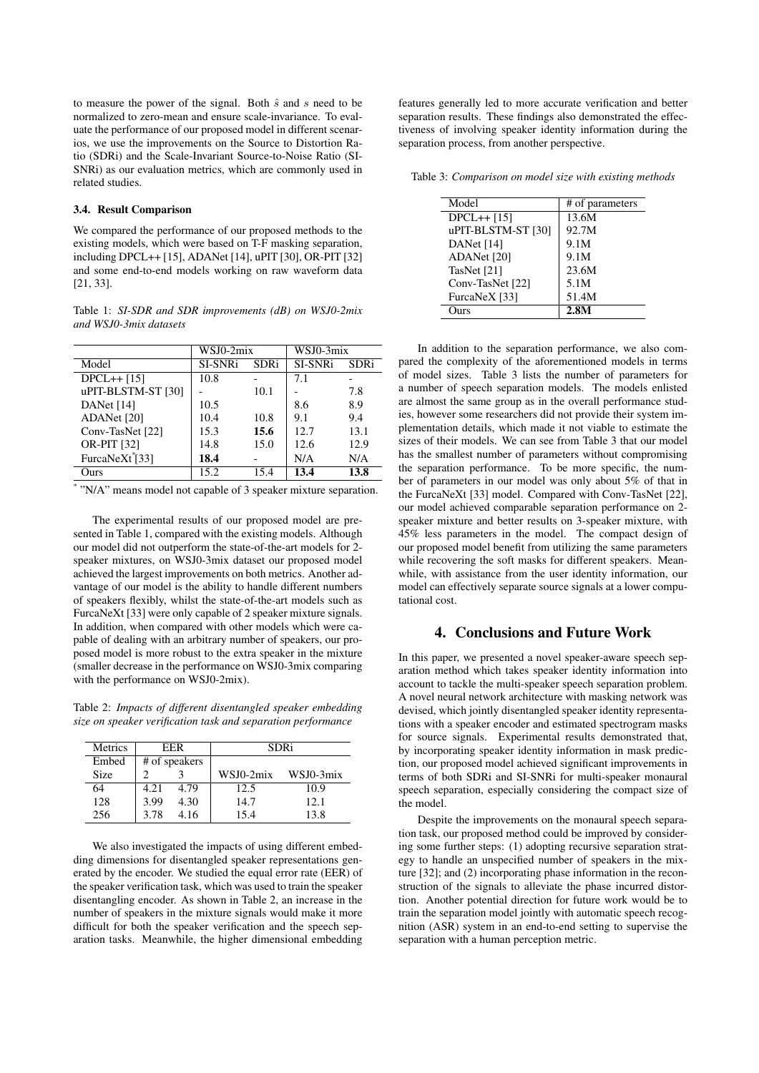to measure the power of the signal. Both  $\hat{s}$  and  $s$  need to be normalized to zero-mean and ensure scale-invariance. To evaluate the performance of our proposed model in different scenarios, we use the improvements on the Source to Distortion Ratio (SDRi) and the Scale-Invariant Source-to-Noise Ratio (SI-SNRi) as our evaluation metrics, which are commonly used in related studies.

#### 3.4. Result Comparison

We compared the performance of our proposed methods to the existing models, which were based on T-F masking separation, including DPCL++ [15], ADANet [14], uPIT [30], OR-PIT [32] and some end-to-end models working on raw waveform data [21, 33].

Table 1: *SI-SDR and SDR improvements (dB) on WSJ0-2mix and WSJ0-3mix datasets*

|                             | WSJ0-2mix |             | WSJ0-3mix |             |
|-----------------------------|-----------|-------------|-----------|-------------|
| Model                       | SI-SNRi   | <b>SDRi</b> | SI-SNRi   | <b>SDRi</b> |
| $DPCL++[15]$                | 10.8      |             | 7.1       |             |
| uPIT-BLSTM-ST [30]          |           | 10.1        |           | 7.8         |
| DANet [14]                  | 10.5      |             | 8.6       | 8.9         |
| ADANet [20]                 | 10.4      | 10.8        | 9.1       | 9.4         |
| Conv-TasNet [22]            | 15.3      | 15.6        | 12.7      | 13.1        |
| <b>OR-PIT [32]</b>          | 14.8      | 15.0        | 12.6      | 12.9        |
| FurcaNeXt <sup>*</sup> [33] | 18.4      |             | N/A       | N/A         |
| Ours                        | 15.2      | 15.4        | 13.4      | 13.8        |

\* "N/A" means model not capable of 3 speaker mixture separation.

The experimental results of our proposed model are presented in Table 1, compared with the existing models. Although our model did not outperform the state-of-the-art models for 2 speaker mixtures, on WSJ0-3mix dataset our proposed model achieved the largest improvements on both metrics. Another advantage of our model is the ability to handle different numbers of speakers flexibly, whilst the state-of-the-art models such as FurcaNeXt [33] were only capable of 2 speaker mixture signals. In addition, when compared with other models which were capable of dealing with an arbitrary number of speakers, our proposed model is more robust to the extra speaker in the mixture (smaller decrease in the performance on WSJ0-3mix comparing with the performance on WSJ0-2mix).

Table 2: *Impacts of different disentangled speaker embedding size on speaker verification task and separation performance*

| <b>Metrics</b> | <b>FFR</b>    |      | <b>SDRi</b> |           |  |
|----------------|---------------|------|-------------|-----------|--|
| Embed          | # of speakers |      |             |           |  |
| <b>Size</b>    |               |      | WSJ0-2mix   | WSJ0-3mix |  |
| 64             | 4.21          | 4.79 | 12.5        | 10.9      |  |
| 128            | 3.99          | 4.30 | 14.7        | 12.1      |  |
| 256            | 3.78          | 4.16 | 15.4        | 13.8      |  |

We also investigated the impacts of using different embedding dimensions for disentangled speaker representations generated by the encoder. We studied the equal error rate (EER) of the speaker verification task, which was used to train the speaker disentangling encoder. As shown in Table 2, an increase in the number of speakers in the mixture signals would make it more difficult for both the speaker verification and the speech separation tasks. Meanwhile, the higher dimensional embedding

features generally led to more accurate verification and better separation results. These findings also demonstrated the effectiveness of involving speaker identity information during the separation process, from another perspective.

Table 3: *Comparison on model size with existing methods*

| Model              | # of parameters |  |
|--------------------|-----------------|--|
| $DPCL++[15]$       | 13.6M           |  |
| uPIT-BLSTM-ST [30] | 92.7M           |  |
| DANet [14]         | 9.1M            |  |
| ADANet [20]        | 9.1M            |  |
| TasNet [21]        | 23.6M           |  |
| Conv-TasNet [22]   | 5.1M            |  |
| FurcaNeX [33]      | 51.4M           |  |
| )urs               | 2.8M            |  |

In addition to the separation performance, we also compared the complexity of the aforementioned models in terms of model sizes. Table 3 lists the number of parameters for a number of speech separation models. The models enlisted are almost the same group as in the overall performance studies, however some researchers did not provide their system implementation details, which made it not viable to estimate the sizes of their models. We can see from Table 3 that our model has the smallest number of parameters without compromising the separation performance. To be more specific, the number of parameters in our model was only about 5% of that in the FurcaNeXt [33] model. Compared with Conv-TasNet [22], our model achieved comparable separation performance on 2 speaker mixture and better results on 3-speaker mixture, with 45% less parameters in the model. The compact design of our proposed model benefit from utilizing the same parameters while recovering the soft masks for different speakers. Meanwhile, with assistance from the user identity information, our model can effectively separate source signals at a lower computational cost.

## 4. Conclusions and Future Work

In this paper, we presented a novel speaker-aware speech separation method which takes speaker identity information into account to tackle the multi-speaker speech separation problem. A novel neural network architecture with masking network was devised, which jointly disentangled speaker identity representations with a speaker encoder and estimated spectrogram masks for source signals. Experimental results demonstrated that, by incorporating speaker identity information in mask prediction, our proposed model achieved significant improvements in terms of both SDRi and SI-SNRi for multi-speaker monaural speech separation, especially considering the compact size of the model.

Despite the improvements on the monaural speech separation task, our proposed method could be improved by considering some further steps: (1) adopting recursive separation strategy to handle an unspecified number of speakers in the mixture [32]; and (2) incorporating phase information in the reconstruction of the signals to alleviate the phase incurred distortion. Another potential direction for future work would be to train the separation model jointly with automatic speech recognition (ASR) system in an end-to-end setting to supervise the separation with a human perception metric.